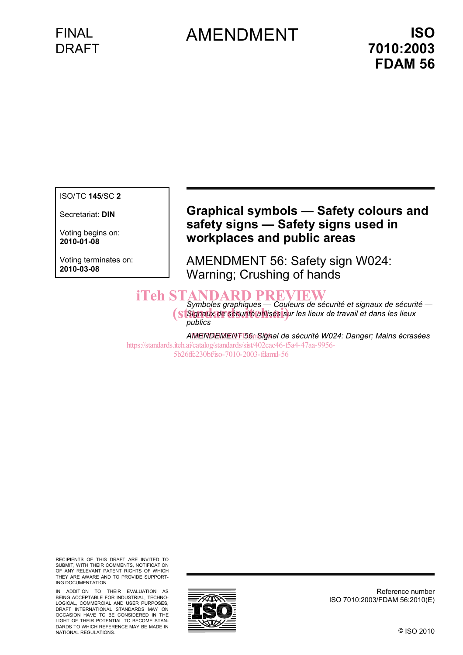## FINAL DRAFT

# AMENDMENT **ISO**

ISO/TC **145**/SC **2** 

Secretariat: **DIN** 

Voting begins on: **2010-01-08**

Voting terminates on: **2010-03-08**

### **Graphical symbols — Safety colours and safety signs — Safety signs used in workplaces and public areas**

AMENDMENT 56: Safety sign W024: Warning; Crushing of hands

# **iTeh STANDARD PREVIEW**<br>Symboles graphiques — Couleurs de sécurité et signaux de sécurité —

Symboles graphiques — Couleurs de sécurité et signaux de sécurit<br>
Signaux de ségurité utilisés sur les lieux de travail et dans les lieux *publics* 

AMENDEMENT 56n Signal de sécurité W024: Danger; Mains écrasées https://standards.iteh.ai/catalog/standards/sist/402cac46-f5a4-47aa-9956- 5b26ffc230bf/iso-7010-2003-fdamd-56

RECIPIENTS OF THIS DRAFT ARE INVITED TO SUBMIT, WITH THEIR COMMENTS, NOTIFICATION OF ANY RELEVANT PATENT RIGHTS OF WHICH THEY ARE AWARE AND TO PROVIDE SUPPORT-ING DOCUMENTATION.

IN ADDITION TO THEIR EVALUATION AS BEING ACCEPTABLE FOR INDUSTRIAL, TECHNO-LOGICAL, COMMERCIAL AND USER PURPOSES, DRAFT INTERNATIONAL STANDARDS MAY ON OCCASION HAVE TO BE CONSIDERED IN THE LIGHT OF THEIR POTENTIAL TO BECOME STAN-DARDS TO WHICH REFERENCE MAY BE MADE IN NATIONAL REGULATIONS.



Reference number ISO 7010:2003/FDAM 56:2010(E)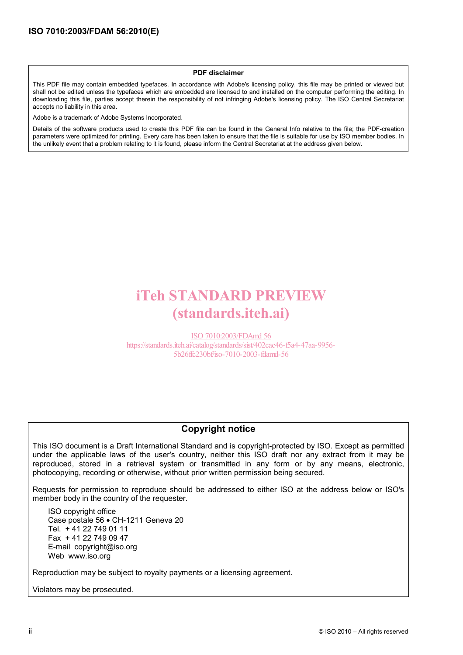#### **PDF disclaimer**

This PDF file may contain embedded typefaces. In accordance with Adobe's licensing policy, this file may be printed or viewed but shall not be edited unless the typefaces which are embedded are licensed to and installed on the computer performing the editing. In downloading this file, parties accept therein the responsibility of not infringing Adobe's licensing policy. The ISO Central Secretariat accepts no liability in this area.

Adobe is a trademark of Adobe Systems Incorporated.

Details of the software products used to create this PDF file can be found in the General Info relative to the file; the PDF-creation parameters were optimized for printing. Every care has been taken to ensure that the file is suitable for use by ISO member bodies. In the unlikely event that a problem relating to it is found, please inform the Central Secretariat at the address given below.

# iTeh STANDARD PREVIEW (standards.iteh.ai)

ISO 7010:2003/FDAmd 56 https://standards.iteh.ai/catalog/standards/sist/402cac46-f5a4-47aa-9956- 5b26ffc230bf/iso-7010-2003-fdamd-56

#### **Copyright notice**

This ISO document is a Draft International Standard and is copyright-protected by ISO. Except as permitted under the applicable laws of the user's country, neither this ISO draft nor any extract from it may be reproduced, stored in a retrieval system or transmitted in any form or by any means, electronic, photocopying, recording or otherwise, without prior written permission being secured.

Requests for permission to reproduce should be addressed to either ISO at the address below or ISO's member body in the country of the requester.

ISO copyright office Case postale 56 • CH-1211 Geneva 20 Tel. + 41 22 749 01 11 Fax + 41 22 749 09 47 E-mail copyright@iso.org Web www.iso.org

Reproduction may be subject to royalty payments or a licensing agreement.

Violators may be prosecuted.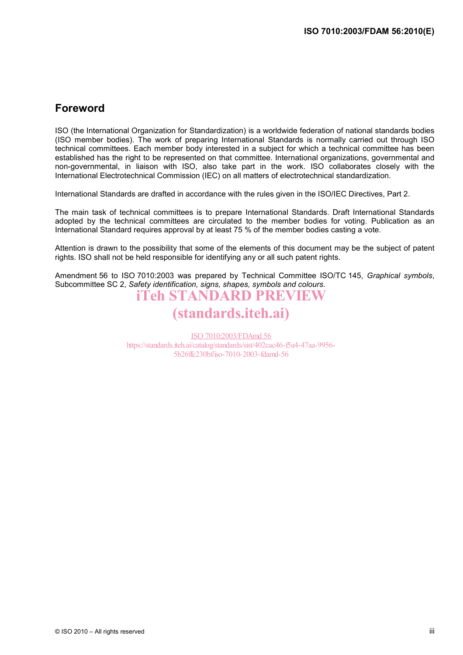### **Foreword**

ISO (the International Organization for Standardization) is a worldwide federation of national standards bodies (ISO member bodies). The work of preparing International Standards is normally carried out through ISO technical committees. Each member body interested in a subject for which a technical committee has been established has the right to be represented on that committee. International organizations, governmental and non-governmental, in liaison with ISO, also take part in the work. ISO collaborates closely with the International Electrotechnical Commission (IEC) on all matters of electrotechnical standardization.

International Standards are drafted in accordance with the rules given in the ISO/IEC Directives, Part 2.

The main task of technical committees is to prepare International Standards. Draft International Standards adopted by the technical committees are circulated to the member bodies for voting. Publication as an International Standard requires approval by at least 75 % of the member bodies casting a vote.

Attention is drawn to the possibility that some of the elements of this document may be the subject of patent rights. ISO shall not be held responsible for identifying any or all such patent rights.

Amendment 56 to ISO 7010:2003 was prepared by Technical Committee ISO/TC 145, *Graphical symbols*, Subcommittee SC 2, *Safety identification, signs, shapes, symbols and colours*.

### iTeh STANDARD PREVIEW (standards.iteh.ai)

ISO 7010:2003/FDAmd 56 https://standards.iteh.ai/catalog/standards/sist/402cac46-f5a4-47aa-9956-5b26ffc230bf/iso-7010-2003-fdamd-56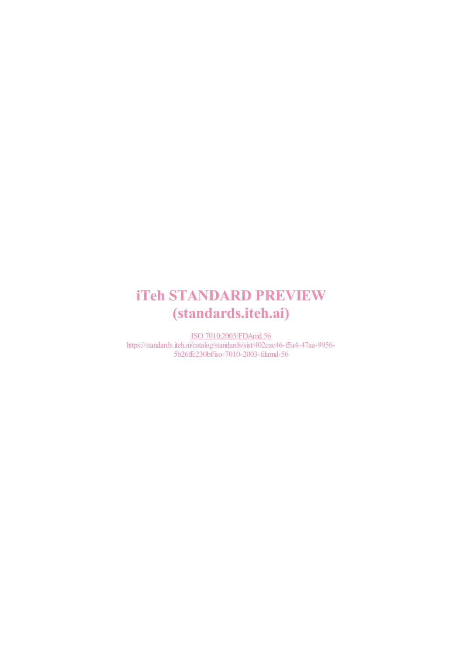# iTeh STANDARD PREVIEW (standards.iteh.ai)

ISO 7010:2003/FDAmd 56 https://standards.iteh.ai/catalog/standards/sist/402cac46-f5a4-47aa-9956- 5b26ffc230bf/iso-7010-2003-fdamd-56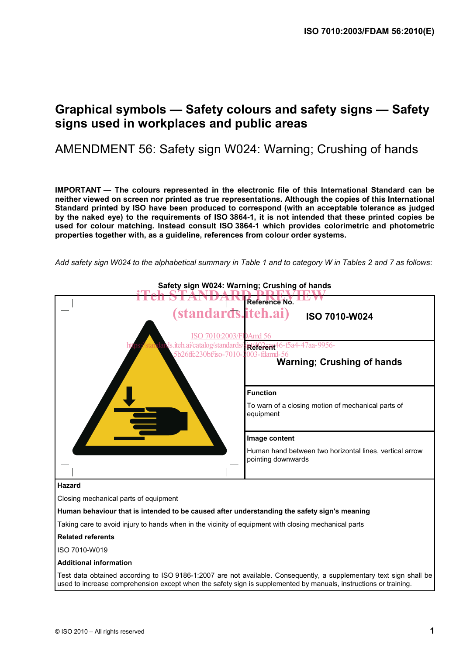### **Graphical symbols — Safety colours and safety signs — Safety signs used in workplaces and public areas**

### AMENDMENT 56: Safety sign W024: Warning; Crushing of hands

**IMPORTANT — The colours represented in the electronic file of this International Standard can be neither viewed on screen nor printed as true representations. Although the copies of this International Standard printed by ISO have been produced to correspond (with an acceptable tolerance as judged by the naked eye) to the requirements of ISO 3864-1, it is not intended that these printed copies be used for colour matching. Instead consult ISO 3864-1 which provides colorimetric and photometric properties together with, as a guideline, references from colour order systems.** 

*Add safety sign W024 to the alphabetical summary in Table 1 and to category W in Tables 2 and 7 as follows*:

| Sarety sign wuz4: warning; Crusning of nands                                                                                                                                                                                            |                                                                               |
|-----------------------------------------------------------------------------------------------------------------------------------------------------------------------------------------------------------------------------------------|-------------------------------------------------------------------------------|
|                                                                                                                                                                                                                                         | Reference No.                                                                 |
| (standards.iteh.ai)                                                                                                                                                                                                                     | <b>ISO 7010-W024</b>                                                          |
| 7010:2003/FDAmd 56                                                                                                                                                                                                                      |                                                                               |
| ds.iteh.ai/catalog/standards/                                                                                                                                                                                                           | <b>Referent</b> 46-Ba4-47aa-9956-                                             |
| 5b26ffc230bf/iso-7010-2003-fdamd-56                                                                                                                                                                                                     | <b>Warning; Crushing of hands</b>                                             |
|                                                                                                                                                                                                                                         |                                                                               |
|                                                                                                                                                                                                                                         |                                                                               |
|                                                                                                                                                                                                                                         | <b>Function</b>                                                               |
|                                                                                                                                                                                                                                         | To warn of a closing motion of mechanical parts of<br>equipment               |
|                                                                                                                                                                                                                                         | Image content                                                                 |
|                                                                                                                                                                                                                                         | Human hand between two horizontal lines, vertical arrow<br>pointing downwards |
|                                                                                                                                                                                                                                         |                                                                               |
| <b>Hazard</b>                                                                                                                                                                                                                           |                                                                               |
| Closing mechanical parts of equipment                                                                                                                                                                                                   |                                                                               |
| Human behaviour that is intended to be caused after understanding the safety sign's meaning                                                                                                                                             |                                                                               |
| Taking care to avoid injury to hands when in the vicinity of equipment with closing mechanical parts                                                                                                                                    |                                                                               |
| <b>Related referents</b>                                                                                                                                                                                                                |                                                                               |
| ISO 7010-W019                                                                                                                                                                                                                           |                                                                               |
| <b>Additional information</b>                                                                                                                                                                                                           |                                                                               |
| Test data obtained according to ISO 9186-1:2007 are not available. Consequently, a supplementary text sign shall be<br>used to increase comprehension except when the safety sign is supplemented by manuals, instructions or training. |                                                                               |
|                                                                                                                                                                                                                                         |                                                                               |

### **Safety sign W024: Warning; Crushing of hands**